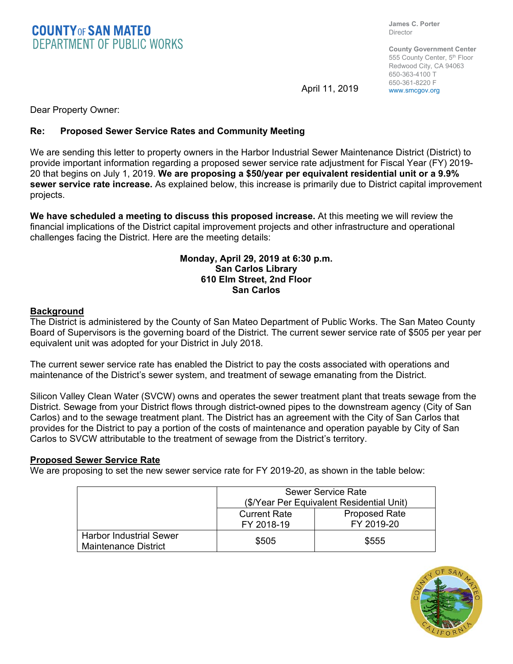**COUNTY** OF SAN MATEO<br>DEPARTMENT OF PUBLIC WORKS

**James C. Porter**  Director

**County Government Center**  555 County Center, 5<sup>th</sup> Floor Redwood City, CA 94063 650-363-4100 T 650-361-8220 F

April 11, 2019 www.smcgov.org

Dear Property Owner:

# **Re: Proposed Sewer Service Rates and Community Meeting**

We are sending this letter to property owners in the Harbor Industrial Sewer Maintenance District (District) to provide important information regarding a proposed sewer service rate adjustment for Fiscal Year (FY) 2019- 20 that begins on July 1, 2019. **We are proposing a \$50/year per equivalent residential unit or a 9.9% sewer service rate increase.** As explained below, this increase is primarily due to District capital improvement projects.

**We have scheduled a meeting to discuss this proposed increase.** At this meeting we will review the financial implications of the District capital improvement projects and other infrastructure and operational challenges facing the District. Here are the meeting details:

### **Monday, April 29, 2019 at 6:30 p.m. San Carlos Library 610 Elm Street, 2nd Floor San Carlos**

### **Background**

The District is administered by the County of San Mateo Department of Public Works. The San Mateo County Board of Supervisors is the governing board of the District. The current sewer service rate of \$505 per year per equivalent unit was adopted for your District in July 2018.

The current sewer service rate has enabled the District to pay the costs associated with operations and maintenance of the District's sewer system, and treatment of sewage emanating from the District.

Silicon Valley Clean Water (SVCW) owns and operates the sewer treatment plant that treats sewage from the District. Sewage from your District flows through district-owned pipes to the downstream agency (City of San Carlos) and to the sewage treatment plant. The District has an agreement with the City of San Carlos that provides for the District to pay a portion of the costs of maintenance and operation payable by City of San Carlos to SVCW attributable to the treatment of sewage from the District's territory.

# **Proposed Sewer Service Rate**

We are proposing to set the new sewer service rate for FY 2019-20, as shown in the table below:

|                                                        | <b>Sewer Service Rate</b><br>(\$/Year Per Equivalent Residential Unit) |                      |
|--------------------------------------------------------|------------------------------------------------------------------------|----------------------|
|                                                        |                                                                        |                      |
|                                                        | <b>Current Rate</b>                                                    | <b>Proposed Rate</b> |
|                                                        | FY 2018-19                                                             | FY 2019-20           |
| <b>Harbor Industrial Sewer</b><br>Maintenance District | \$505                                                                  | \$555                |